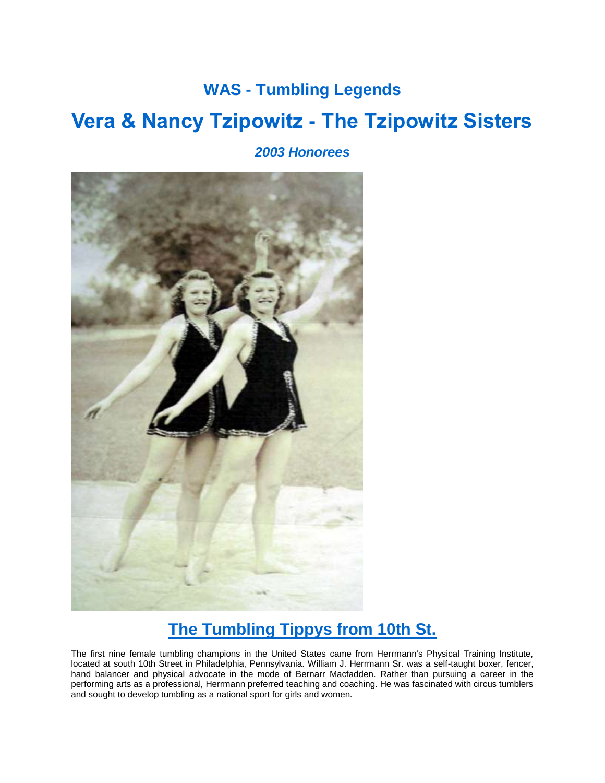## **WAS - Tumbling Legends Vera & Nancy Tzipowitz - The Tzipowitz Sisters**

*2003 Honorees*



## **The Tumbling Tippys from 10th St.**

The first nine female tumbling champions in the United States came from Herrmann's Physical Training Institute, located at south 10th Street in Philadelphia, Pennsylvania. William J. Herrmann Sr. was a self-taught boxer, fencer, hand balancer and physical advocate in the mode of Bernarr Macfadden. Rather than pursuing a career in the performing arts as a professional, Herrmann preferred teaching and coaching. He was fascinated with circus tumblers and sought to develop tumbling as a national sport for girls and women.